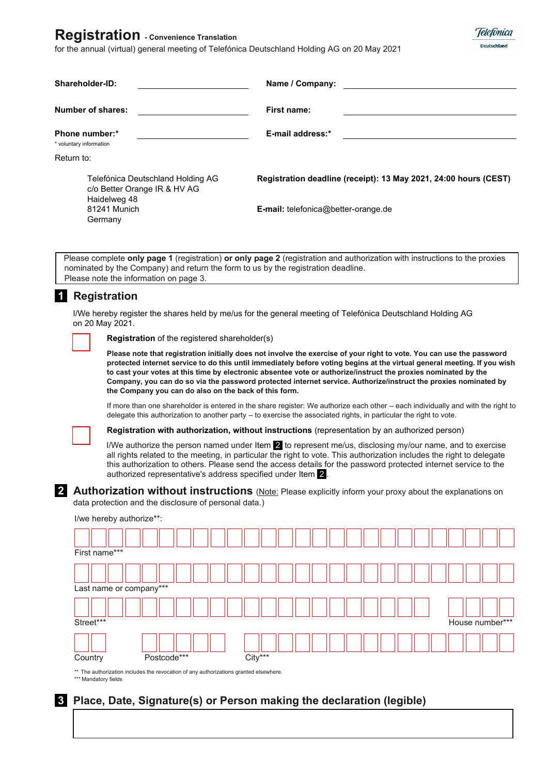# **Registration - Convenience Translation**

for the annual (virtual) general meeting of Telefónica Deutschland Holding AG on 20 May 2021



| Shareholder-ID:                                                                   | Name / Company:                                                                                                             |
|-----------------------------------------------------------------------------------|-----------------------------------------------------------------------------------------------------------------------------|
| Number of shares:                                                                 | First name:                                                                                                                 |
| Phone number:*<br>* voluntary information                                         | E-mail address:*                                                                                                            |
| Return to:                                                                        |                                                                                                                             |
| Telefónica Deutschland Holding AG<br>c/o Better Orange IR & HV AG<br>Haidelweg 48 | Registration deadline (receipt): 13 May 2021, 24:00 hours (CEST)                                                            |
| 81241 Munich<br>Germany                                                           | <b>E-mail:</b> telefonica@better-orange.de                                                                                  |
|                                                                                   |                                                                                                                             |
|                                                                                   | Dlogeo complete anty nano 1 (registration) or only nano 2 (registration and outherization with instructions to the province |

Please complete **only page 1** (registration) **or only page 2** (registration and authorization with instructions to the proxies nominated by the Company) and return the form to us by the registration deadline. Please note the information on page 3.

## **1 Registration**

I/We hereby register the shares held by me/us for the general meeting of Telefónica Deutschland Holding AG on 20 May 2021.

**Registration** of the registered shareholder(s)

**Please note that registration initially does not involve the exercise of your right to vote. You can use the password protected internet service to do this until immediately before voting begins at the virtual general meeting. If you wish to cast your votes at this time by electronic absentee vote or authorize/instruct the proxies nominated by the Company, you can do so via the password protected internet service. Authorize/instruct the proxies nominated by the Company you can do also on the back of this form.** 

If more than one shareholder is entered in the share register: We authorize each other – each individually and with the right to delegate this authorization to another party – to exercise the associated rights, in particular the right to vote.

**Registration with authorization, without instructions** (representation by an authorized person)

I/We authorize the person named under Item  $2$  to represent me/us, disclosing my/our name, and to exercise all rights related to the meeting, in particular the right to vote. This authorization includes the right to delegate this authorization to others. Please send the access details for the password protected internet service to the authorized representative's address specified under Item 2 .

**2 Authorization without instructions** (Note: Please explicitly inform your proxy about the explanations on data protection and the disclosure of personal data.)

| I/we hereby authorize**: |             |         |  |  |                 |
|--------------------------|-------------|---------|--|--|-----------------|
|                          |             |         |  |  |                 |
| First name***            |             |         |  |  |                 |
|                          |             |         |  |  |                 |
| Last name or company***  |             |         |  |  |                 |
| Street***                |             |         |  |  | House number*** |
| Country                  | Postcode*** | City*** |  |  |                 |

\* The authorization includes the revocation of any authorizations granted elsewhere. \*\*\* Mandatory fields

## **3 Place, Date, Signature(s) or Person making the declaration (legible)**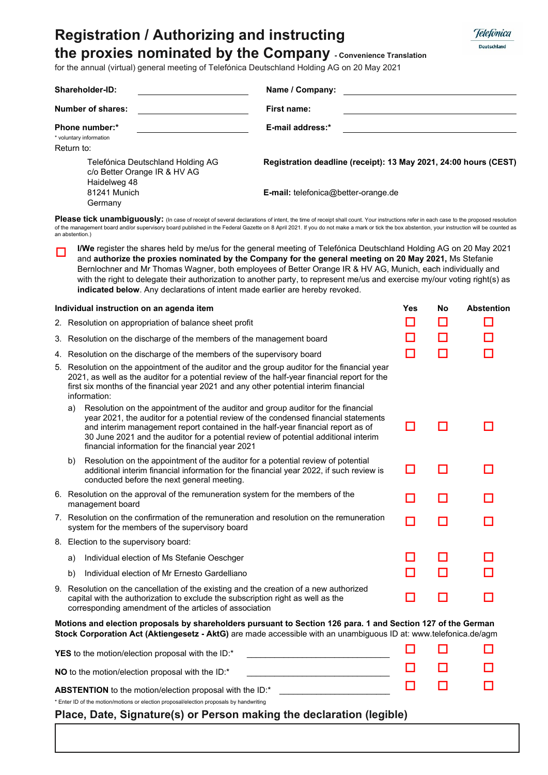# **Registration / Authorizing and instructing**



**the proxies nominated by the Company - Convenience Translation**

for the annual (virtual) general meeting of Telefónica Deutschland Holding AG on 20 May 2021

| Shareholder-ID:<br>Name / Company:                                                |                                                                                                                                                                                                                                                                                                                                                                                                                                                                                  |  |  |  |
|-----------------------------------------------------------------------------------|----------------------------------------------------------------------------------------------------------------------------------------------------------------------------------------------------------------------------------------------------------------------------------------------------------------------------------------------------------------------------------------------------------------------------------------------------------------------------------|--|--|--|
| Number of shares:<br>First name:                                                  |                                                                                                                                                                                                                                                                                                                                                                                                                                                                                  |  |  |  |
| Phone number:*<br>* voluntary information<br>Return to:                           | E-mail address:*                                                                                                                                                                                                                                                                                                                                                                                                                                                                 |  |  |  |
| Telefónica Deutschland Holding AG<br>c/o Better Orange IR & HV AG<br>Haidelweg 48 | Registration deadline (receipt): 13 May 2021, 24:00 hours (CEST)                                                                                                                                                                                                                                                                                                                                                                                                                 |  |  |  |
| 81241 Munich<br>Germany                                                           | E-mail: telefonica@better-orange.de                                                                                                                                                                                                                                                                                                                                                                                                                                              |  |  |  |
| an abstention.)                                                                   | Please tick unambiguously: (In case of receipt of several declarations of intent, the time of receipt shall count. Your instructions refer in each case to the proposed resolution<br>of the management board and/or supervisory board published in the Federal Gazette on 8 April 2021. If you do not make a mark or tick the box abstention, your instruction will be counted as                                                                                               |  |  |  |
| indicated below. Any declarations of intent made earlier are hereby revoked.      | <b>I/We</b> register the shares held by me/us for the general meeting of Telefónica Deutschland Holding AG on 20 May 2021<br>and authorize the proxies nominated by the Company for the general meeting on 20 May 2021, Ms Stefanie<br>Bernlochner and Mr Thomas Wagner, both employees of Better Orange IR & HV AG, Munich, each individually and<br>with the right to delegate their authorization to another party, to represent me/us and exercise my/our voting right(s) as |  |  |  |
| Individual instruction on an agenda item                                          | <b>Abstention</b><br>Yes<br>Nο                                                                                                                                                                                                                                                                                                                                                                                                                                                   |  |  |  |
| 2. Resolution on appropriation of balance sheet profit                            |                                                                                                                                                                                                                                                                                                                                                                                                                                                                                  |  |  |  |

|    | Individual instruction on an agenda item                                                                                                                                                                                                                                                                                                                                                                     | Yes | No | <b>Abstention</b> |
|----|--------------------------------------------------------------------------------------------------------------------------------------------------------------------------------------------------------------------------------------------------------------------------------------------------------------------------------------------------------------------------------------------------------------|-----|----|-------------------|
|    | 2. Resolution on appropriation of balance sheet profit                                                                                                                                                                                                                                                                                                                                                       | □   | П  |                   |
|    | 3. Resolution on the discharge of the members of the management board                                                                                                                                                                                                                                                                                                                                        |     |    |                   |
| 4. | Resolution on the discharge of the members of the supervisory board                                                                                                                                                                                                                                                                                                                                          | □   | П  |                   |
|    | 5. Resolution on the appointment of the auditor and the group auditor for the financial year<br>2021, as well as the auditor for a potential review of the half-year financial report for the<br>first six months of the financial year 2021 and any other potential interim financial<br>information:                                                                                                       |     |    |                   |
|    | Resolution on the appointment of the auditor and group auditor for the financial<br>a)<br>year 2021, the auditor for a potential review of the condensed financial statements<br>and interim management report contained in the half-year financial report as of<br>30 June 2021 and the auditor for a potential review of potential additional interim<br>financial information for the financial year 2021 | H   |    |                   |
|    | Resolution on the appointment of the auditor for a potential review of potential<br>b)<br>additional interim financial information for the financial year 2022, if such review is<br>conducted before the next general meeting.                                                                                                                                                                              | П   |    |                   |
|    | 6. Resolution on the approval of the remuneration system for the members of the<br>management board                                                                                                                                                                                                                                                                                                          | H   | П  |                   |
|    | 7. Resolution on the confirmation of the remuneration and resolution on the remuneration<br>system for the members of the supervisory board                                                                                                                                                                                                                                                                  | П   | П  |                   |
|    | 8. Election to the supervisory board:                                                                                                                                                                                                                                                                                                                                                                        |     |    |                   |
|    | Individual election of Ms Stefanie Oeschger<br>a)                                                                                                                                                                                                                                                                                                                                                            |     |    |                   |
|    | Individual election of Mr Ernesto Gardelliano<br>b)                                                                                                                                                                                                                                                                                                                                                          |     |    |                   |
|    | 9. Resolution on the cancellation of the existing and the creation of a new authorized<br>capital with the authorization to exclude the subscription right as well as the<br>corresponding amendment of the articles of association                                                                                                                                                                          | П   | П  |                   |
|    |                                                                                                                                                                                                                                                                                                                                                                                                              |     |    |                   |

**Motions and election proposals by shareholders pursuant to Section 126 para. 1 and Section 127 of the German Stock Corporation Act (Aktiengesetz - AktG)** are made accessible with an unambiguous ID at: www.telefonica.de/agm

| YES to the motion/election proposal with the ID:*                                       | n n    |   | $\Box$         |
|-----------------------------------------------------------------------------------------|--------|---|----------------|
| <b>NO</b> to the motion/election proposal with the ID:*                                 | $\Box$ |   | <b>Service</b> |
| <b>ABSTENTION</b> to the motion/election proposal with the ID:*                         |        | . |                |
| * Enter ID of the motion/motions or election proposal/election proposals by handwriting |        |   |                |

**Place, Date, Signature(s) or Person making the declaration (legible)**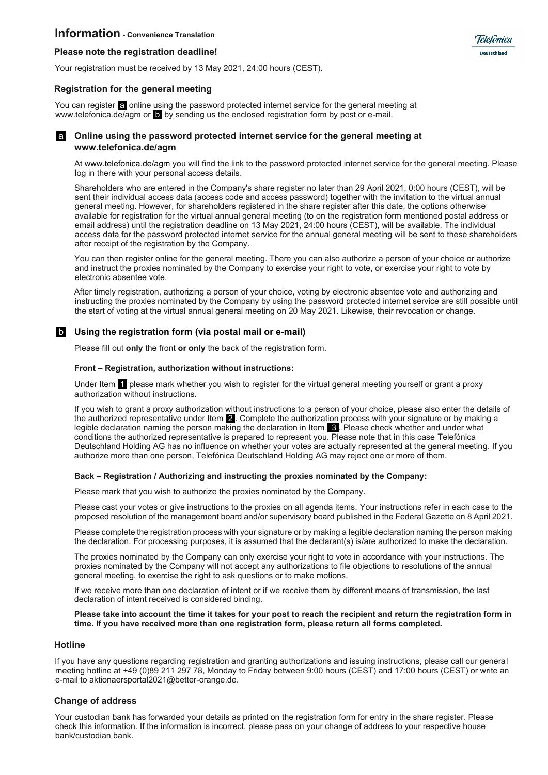### **Information - Convenience Translation**

#### **Please note the registration deadline!**

Your registration must be received by 13 May 2021, 24:00 hours (CEST).

#### **Registration for the general meeting**

You can register a online using the password protected internet service for the general meeting at www.telefonica.de/agm or **b** by sending us the enclosed registration form by post or e-mail.



#### a **Online using the password protected internet service for the general meeting at www.telefonica.de/agm**

At www.telefonica.de/agm you will find the link to the password protected internet service for the general meeting. Please log in there with your personal access details.

Telefònica **Deutschland** 

Shareholders who are entered in the Company's share register no later than 29 April 2021, 0:00 hours (CEST), will be sent their individual access data (access code and access password) together with the invitation to the virtual annual general meeting. However, for shareholders registered in the share register after this date, the options otherwise available for registration for the virtual annual general meeting (to on the registration form mentioned postal address or email address) until the registration deadline on 13 May 2021, 24:00 hours (CEST), will be available. The individual access data for the password protected internet service for the annual general meeting will be sent to these shareholders after receipt of the registration by the Company.

You can then register online for the general meeting. There you can also authorize a person of your choice or authorize and instruct the proxies nominated by the Company to exercise your right to vote, or exercise your right to vote by electronic absentee vote.

After timely registration, authorizing a person of your choice, voting by electronic absentee vote and authorizing and instructing the proxies nominated by the Company by using the password protected internet service are still possible until the start of voting at the virtual annual general meeting on 20 May 2021. Likewise, their revocation or change.

#### b **Using the registration form (via postal mail or e-mail)**

Please fill out **only** the front **or only** the back of the registration form.

#### **Front – Registration, authorization without instructions:**

Under Item 1 please mark whether you wish to register for the virtual general meeting yourself or grant a proxy authorization without instructions.

If you wish to grant a proxy authorization without instructions to a person of your choice, please also enter the details of the authorized representative under Item 2 . Complete the authorization process with your signature or by making a legible declaration naming the person making the declaration in Item 8. Please check whether and under what conditions the authorized representative is prepared to represent you. Please note that in this case Telefónica Deutschland Holding AG has no influence on whether your votes are actually represented at the general meeting. If you authorize more than one person, Telefónica Deutschland Holding AG may reject one or more of them.

#### **Back – Registration / Authorizing and instructing the proxies nominated by the Company:**

Please mark that you wish to authorize the proxies nominated by the Company.

Please cast your votes or give instructions to the proxies on all agenda items. Your instructions refer in each case to the proposed resolution of the management board and/or supervisory board published in the Federal Gazette on 8 April 2021.

Please complete the registration process with your signature or by making a legible declaration naming the person making the declaration. For processing purposes, it is assumed that the declarant(s) is/are authorized to make the declaration.

The proxies nominated by the Company can only exercise your right to vote in accordance with your instructions. The proxies nominated by the Company will not accept any authorizations to file objections to resolutions of the annual general meeting, to exercise the right to ask questions or to make motions.

If we receive more than one declaration of intent or if we receive them by different means of transmission, the last declaration of intent received is considered binding.

#### **Please take into account the time it takes for your post to reach the recipient and return the registration form in time. If you have received more than one registration form, please return all forms completed.**

#### **Hotline**

If you have any questions regarding registration and granting authorizations and issuing instructions, please call our general meeting hotline at +49 (0)89 211 297 78, Monday to Friday between 9:00 hours (CEST) and 17:00 hours (CEST) or write an e-mail to aktionaersportal2021@better-orange.de.

#### **Change of address**

Your custodian bank has forwarded your details as printed on the registration form for entry in the share register. Please check this information. If the information is incorrect, please pass on your change of address to your respective house bank/custodian bank.